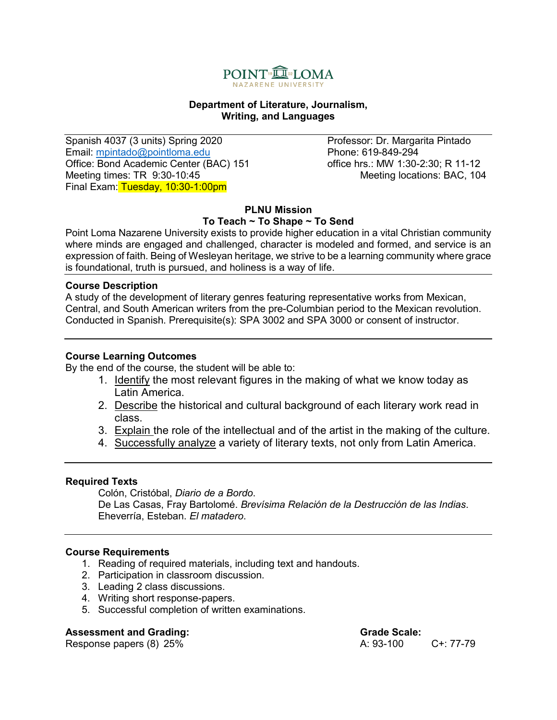

#### **Department of Literature, Journalism, Writing, and Languages**

Spanish 4037 (3 units) Spring 2020 Professor: Dr. Margarita Pintado Email: <u>mpintado@pointloma.edu</u> Phone: 619-849-294<br>Office: Bond Academic Center (BAC) 151 office hrs.: MW 1:30-2:30: R 11-12 Office: Bond Academic Center (BAC) 151 Meeting times: TR 9:30-10:45 Final Exam: Tuesday, 10:30-1:00pm

#### **PLNU Mission To Teach ~ To Shape ~ To Send**

Point Loma Nazarene University exists to provide higher education in a vital Christian community where minds are engaged and challenged, character is modeled and formed, and service is an expression of faith. Being of Wesleyan heritage, we strive to be a learning community where grace is foundational, truth is pursued, and holiness is a way of life.

## **Course Description**

A study of the development of literary genres featuring representative works from Mexican, Central, and South American writers from the pre-Columbian period to the Mexican revolution. Conducted in Spanish. Prerequisite(s): SPA 3002 and SPA 3000 or consent of instructor.

#### **Course Learning Outcomes**

By the end of the course, the student will be able to:

- 1. Identify the most relevant figures in the making of what we know today as Latin America.
- 2. Describe the historical and cultural background of each literary work read in class.
- 3. Explain the role of the intellectual and of the artist in the making of the culture.
- 4. Successfully analyze a variety of literary texts, not only from Latin America.

#### **Required Texts**

Colón, Cristóbal, *Diario de a Bordo*. De Las Casas, Fray Bartolomé. *Brevísima Relación de la Destrucción de las Indias*. Eheverría, Esteban. *El matadero*.

#### **Course Requirements**

- 1. Reading of required materials, including text and handouts.
- 2. Participation in classroom discussion.
- 3. Leading 2 class discussions.
- 4. Writing short response-papers.
- 5. Successful completion of written examinations.

#### **Assessment and Grading: The Contract of Grade Scale: Crade Scale:** Crade Scale:

Response papers (8) 25% A: 93-100 C+: 77-79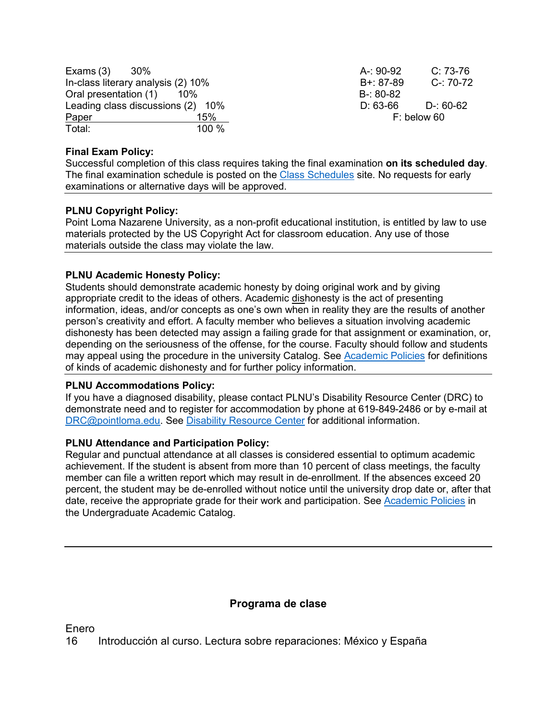| Exams $(3)$                        | -30%  | A-: 90-92   | $C: 73-76$    |
|------------------------------------|-------|-------------|---------------|
| In-class literary analysis (2) 10% |       | B+: 87-89   | $C - 70 - 72$ |
| Oral presentation (1)<br>- 10%     |       | B-: 80-82   |               |
| Leading class discussions (2) 10%  |       | $D: 63-66$  | D-: 60-62     |
| Paper                              | 15%   | F: below 60 |               |
| Total:                             | 100 % |             |               |

## **Final Exam Policy:**

Successful completion of this class requires taking the final examination **on its scheduled day**. The final examination schedule is posted on the [Class Schedules](http://www.pointloma.edu/experience/academics/class-schedules) site. No requests for early examinations or alternative days will be approved.

#### **PLNU Copyright Policy:**

Point Loma Nazarene University, as a non-profit educational institution, is entitled by law to use materials protected by the US Copyright Act for classroom education. Any use of those materials outside the class may violate the law.

## **PLNU Academic Honesty Policy:**

Students should demonstrate academic honesty by doing original work and by giving appropriate credit to the ideas of others. Academic dishonesty is the act of presenting information, ideas, and/or concepts as one's own when in reality they are the results of another person's creativity and effort. A faculty member who believes a situation involving academic dishonesty has been detected may assign a failing grade for that assignment or examination, or, depending on the seriousness of the offense, for the course. Faculty should follow and students may appeal using the procedure in the university Catalog. See [Academic Policies](http://catalog.pointloma.edu/content.php?catoid=18&navoid=1278) for definitions of kinds of academic dishonesty and for further policy information.

#### **PLNU Accommodations Policy:**

If you have a diagnosed disability, please contact PLNU's Disability Resource Center (DRC) to demonstrate need and to register for accommodation by phone at 619-849-2486 or by e-mail at [DRC@pointloma.edu.](mailto:DRC@pointloma.edu) See [Disability Resource Center](http://www.pointloma.edu/experience/offices/administrative-offices/academic-advising-office/disability-resource-center) for additional information.

## **PLNU Attendance and Participation Policy:**

Regular and punctual attendance at all classes is considered essential to optimum academic achievement. If the student is absent from more than 10 percent of class meetings, the faculty member can file a written report which may result in de-enrollment. If the absences exceed 20 percent, the student may be de-enrolled without notice until the university drop date or, after that date, receive the appropriate grade for their work and participation. See [Academic Policies](http://catalog.pointloma.edu/content.php?catoid=18&navoid=1278) in the Undergraduate Academic Catalog.

# **Programa de clase**

Enero

16 Introducción al curso. Lectura sobre reparaciones: México y España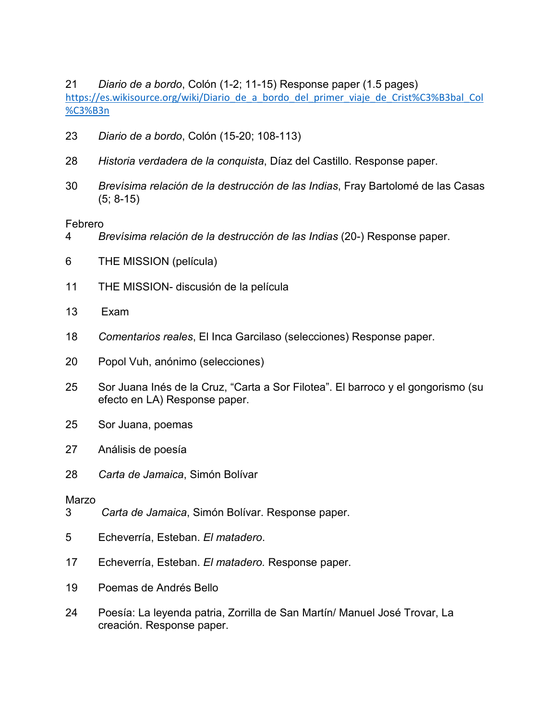*Diario de a bordo*, Colón (1-2; 11-15) Response paper (1.5 pages) [https://es.wikisource.org/wiki/Diario\\_de\\_a\\_bordo\\_del\\_primer\\_viaje\\_de\\_Crist%C3%B3bal\\_Col](https://es.wikisource.org/wiki/Diario_de_a_bordo_del_primer_viaje_de_Crist%C3%B3bal_Col%C3%B3n) [%C3%B3n](https://es.wikisource.org/wiki/Diario_de_a_bordo_del_primer_viaje_de_Crist%C3%B3bal_Col%C3%B3n)

- *Diario de a bordo*, Colón (15-20; 108-113)
- *Historia verdadera de la conquista*, Díaz del Castillo. Response paper.
- *Brevísima relación de la destrucción de las Indias*, Fray Bartolomé de las Casas (5; 8-15)

Febrero

- *Brevísima relación de la destrucción de las Indias* (20-) Response paper.
- THE MISSION (película)
- THE MISSION- discusión de la película
- 13 Exam
- *Comentarios reales*, El Inca Garcilaso (selecciones) Response paper.
- Popol Vuh, anónimo (selecciones)
- Sor Juana Inés de la Cruz, "Carta a Sor Filotea". El barroco y el gongorismo (su efecto en LA) Response paper.
- Sor Juana, poemas
- Análisis de poesía
- *Carta de Jamaica*, Simón Bolívar

# Marzo

- *Carta de Jamaica*, Simón Bolívar. Response paper.
- Echeverría, Esteban. *El matadero*.
- Echeverría, Esteban. *El matadero.* Response paper.
- Poemas de Andrés Bello
- Poesía: La leyenda patria, Zorrilla de San Martín/ Manuel José Trovar, La creación. Response paper.